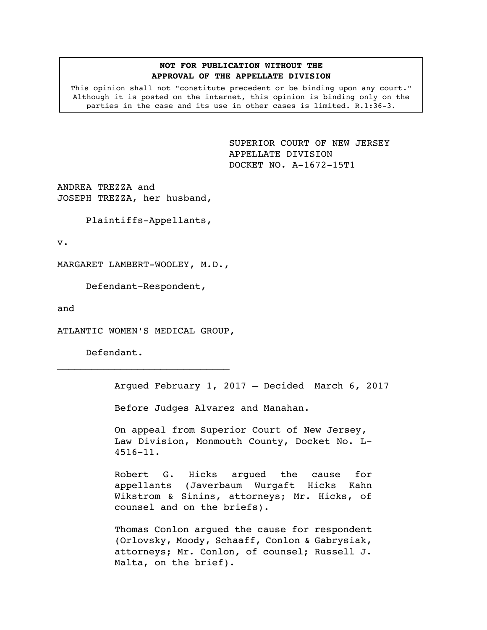## **NOT FOR PUBLICATION WITHOUT THE APPROVAL OF THE APPELLATE DIVISION**

This opinion shall not "constitute precedent or be binding upon any court." Although it is posted on the internet, this opinion is binding only on the parties in the case and its use in other cases is limited.  $R.1:36-3$ .

> <span id="page-0-0"></span>SUPERIOR COURT OF NEW JERSEY APPELLATE DIVISION DOCKET NO. A-1672-15T1

ANDREA TREZZA and JOSEPH TREZZA, her husband,

Plaintiffs-Appellants,

v.

MARGARET LAMBERT-WOOLEY, M.D.,

Defendant-Respondent,

and

ATLANTIC WOMEN'S MEDICAL GROUP,

Defendant.

Argued February 1, 2017 – Decided March 6, 2017

Before Judges Alvarez and Manahan.

On appeal from Superior Court of New Jersey, Law Division, Monmouth County, Docket No. L-4516-11.

Robert G. Hicks argued the cause for appellants (Javerbaum Wurgaft Hicks Kahn Wikstrom & Sinins, attorneys; Mr. Hicks, of counsel and on the briefs).

Thomas Conlon argued the cause for respondent (Orlovsky, Moody, Schaaff, Conlon & Gabrysiak, attorneys; Mr. Conlon, of counsel; Russell J. Malta, on the brief).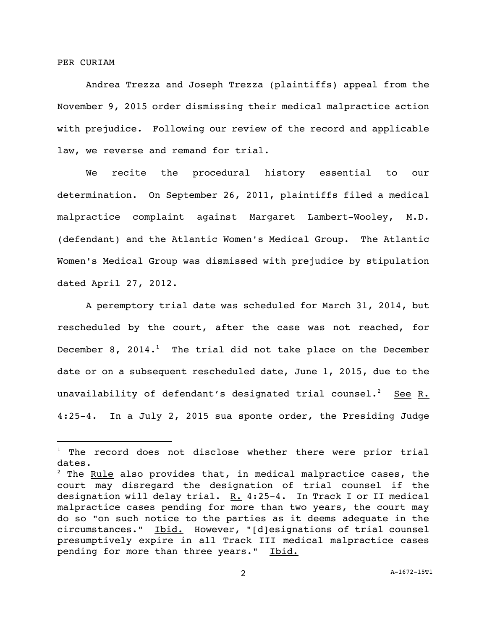PER CURIAM

i<br>L

Andrea Trezza and Joseph Trezza (plaintiffs) appeal from the November 9, 2015 order dismissing their medical malpractice action with prejudice. Following our review of the record and applicable law, we reverse and remand for trial.

We recite the procedural history essential to our determination. On September 26, 2011, plaintiffs filed a medical malpractice complaint against Margaret Lambert-Wooley, M.D. (defendant) and the Atlantic Women's Medical Group. The Atlantic Women's Medical Group was dismissed with prejudice by stipulation dated April 27, 2012.

A peremptory trial date was scheduled for March 31, 2014, but rescheduled by the court, after the case was not reached, for December 8, 2014.<sup>1</sup> The trial did not take place on the December date or on a subsequent rescheduled date, June 1, 2015, due to the unavailability of defendant's designated trial counsel. $^2$  See R. 4:25-4. In a July 2, 2015 sua sponte order, the Presiding Judge

 $1$  The record does not disclose whether there were prior trial dates.

 $2$  The Rule also provides that, in medical malpractice cases, the court may disregard the designation of trial counsel if the designation will delay trial.  $R. 4:25-4$ . In Track I or II medical malpractice cases pending for more than two years, the court may do so "on such notice to the parties as it deems adequate in the circumstances." Ibid. However, "[d]esignations of trial counsel presumptively expire in all Track III medical malpractice cases pending for more than three years." Ibid.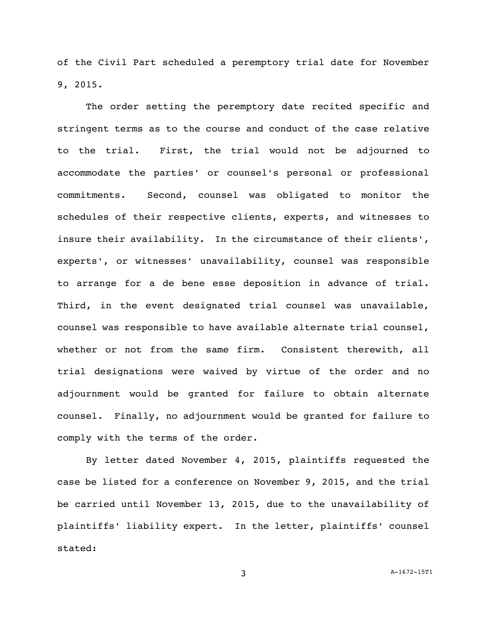of the Civil Part scheduled a peremptory trial date for November 9, 2015.

The order setting the peremptory date recited specific and stringent terms as to the course and conduct of the case relative to the trial. First, the trial would not be adjourned to accommodate the parties' or counsel's personal or professional commitments. Second, counsel was obligated to monitor the schedules of their respective clients, experts, and witnesses to insure their availability. In the circumstance of their clients', experts', or witnesses' unavailability, counsel was responsible to arrange for a de bene esse deposition in advance of trial. Third, in the event designated trial counsel was unavailable, counsel was responsible to have available alternate trial counsel, whether or not from the same firm. Consistent therewith, all trial designations were waived by virtue of the order and no adjournment would be granted for failure to obtain alternate counsel. Finally, no adjournment would be granted for failure to comply with the terms of the order.

By letter dated November 4, 2015, plaintiffs requested the case be listed for a conference on November 9, 2015, and the trial be carried until November 13, 2015, due to the unavailability of plaintiffs' liability expert. In the letter, plaintiffs' counsel stated: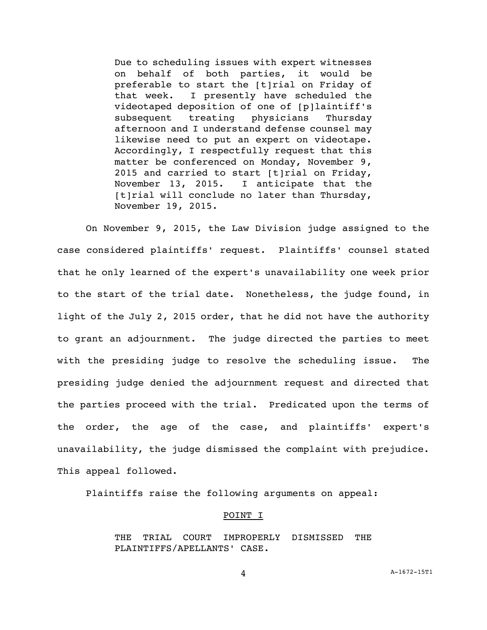Due to scheduling issues with expert witnesses on behalf of both parties, it would be preferable to start the [t]rial on Friday of that week. I presently have scheduled the videotaped deposition of one of [p]laintiff's subsequent treating physicians Thursday afternoon and I understand defense counsel may likewise need to put an expert on videotape. Accordingly, I respectfully request that this matter be conferenced on Monday, November 9, 2015 and carried to start [t]rial on Friday, November 13, 2015. I anticipate that the [t]rial will conclude no later than Thursday, November 19, 2015.

On November 9, 2015, the Law Division judge assigned to the case considered plaintiffs' request. Plaintiffs' counsel stated that he only learned of the expert's unavailability one week prior to the start of the trial date. Nonetheless, the judge found, in light of the July 2, 2015 order, that he did not have the authority to grant an adjournment. The judge directed the parties to meet with the presiding judge to resolve the scheduling issue. The presiding judge denied the adjournment request and directed that the parties proceed with the trial. Predicated upon the terms of the order, the age of the case, and plaintiffs' expert's unavailability, the judge dismissed the complaint with prejudice. This appeal followed.

Plaintiffs raise the following arguments on appeal:

#### POINT I

THE TRIAL COURT IMPROPERLY DISMISSED THE PLAINTIFFS/APELLANTS' CASE.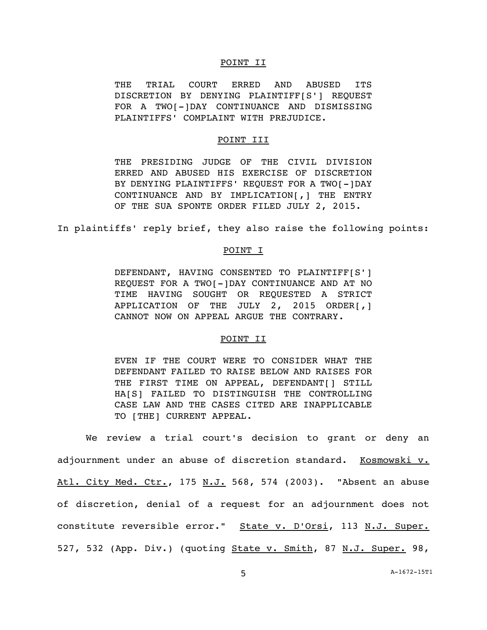### POINT II

THE TRIAL COURT ERRED AND ABUSED ITS DISCRETION BY DENYING PLAINTIFF[S'] REQUEST FOR A TWO[-]DAY CONTINUANCE AND DISMISSING PLAINTIFFS' COMPLAINT WITH PREJUDICE.

# POINT III

THE PRESIDING JUDGE OF THE CIVIL DIVISION ERRED AND ABUSED HIS EXERCISE OF DISCRETION BY DENYING PLAINTIFFS' REQUEST FOR A TWO[-]DAY CONTINUANCE AND BY IMPLICATION[,] THE ENTRY OF THE SUA SPONTE ORDER FILED JULY 2, 2015.

In plaintiffs' reply brief, they also raise the following points:

### POINT I

DEFENDANT, HAVING CONSENTED TO PLAINTIFF[S'] REQUEST FOR A TWO[-]DAY CONTINUANCE AND AT NO TIME HAVING SOUGHT OR REQUESTED A STRICT APPLICATION OF THE JULY 2, 2015 ORDER[,] CANNOT NOW ON APPEAL ARGUE THE CONTRARY.

## POINT II

EVEN IF THE COURT WERE TO CONSIDER WHAT THE DEFENDANT FAILED TO RAISE BELOW AND RAISES FOR THE FIRST TIME ON APPEAL, DEFENDANT[] STILL HA[S] FAILED TO DISTINGUISH THE CONTROLLING CASE LAW AND THE CASES CITED ARE INAPPLICABLE TO [THE] CURRENT APPEAL.

We review a trial court's decision to grant or deny an adjournment under an abuse of discretion standard. Kosmowski v. Atl. City Med. Ctr., 175 N.J. 568, 574 (2003). "Absent an abuse of discretion, denial of a request for an adjournment does not constitute reversible error." State v. D'Orsi, 113 N.J. Super. 527, 532 (App. Div.) (quoting State v. Smith, 87 N.J. Super. 98,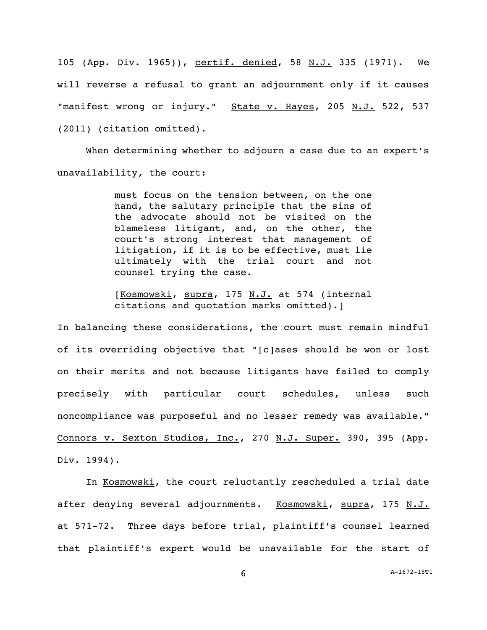105 (App. Div. 1965)), certif. denied, 58 N.J. 335 (1971). We will reverse a refusal to grant an adjournment only if it causes "manifest wrong or injury." State v. Hayes, 205 N.J. 522, 537 (2011) (citation omitted).

When determining whether to adjourn a case due to an expert's unavailability, the court:

> must focus on the tension between, on the one hand, the salutary principle that the sins of the advocate should not be visited on the blameless litigant, and, on the other, the court's strong interest that management of litigation, if it is to be effective, must lie ultimately with the trial court and not counsel trying the case.

> [Kosmowski, supra, 175 N.J. at 574 (internal citations and quotation marks omitted).]

In balancing these considerations, the court must remain mindful of its overriding objective that "[c]ases should be won or lost on their merits and not because litigants have failed to comply precisely with particular court schedules, unless such noncompliance was purposeful and no lesser remedy was available." Connors v. Sexton Studios, Inc., 270 N.J. Super. 390, 395 (App. Div. 1994).

In Kosmowski, the court reluctantly rescheduled a trial date after denying several adjournments. Kosmowski, supra, 175 N.J. at 571-72. Three days before trial, plaintiff's counsel learned that plaintiff's expert would be unavailable for the start of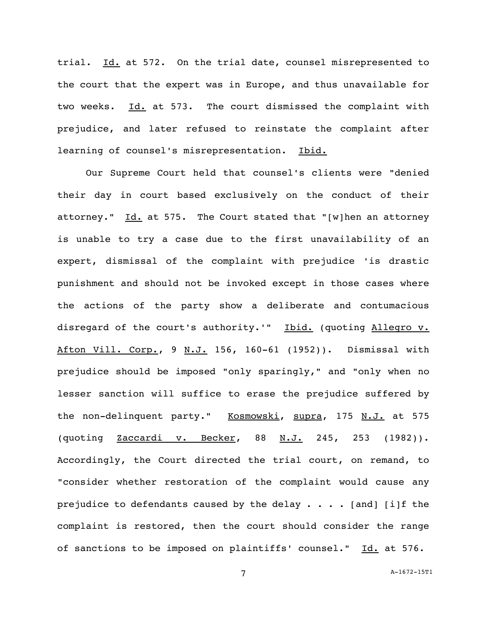trial. Id. at 572. On the trial date, counsel misrepresented to the court that the expert was in Europe, and thus unavailable for two weeks. Id. at 573. The court dismissed the complaint with prejudice, and later refused to reinstate the complaint after learning of counsel's misrepresentation. Ibid.

Our Supreme Court held that counsel's clients were "denied their day in court based exclusively on the conduct of their attorney."  $\underline{Id.}$  at 575. The Court stated that "[w]hen an attorney is unable to try a case due to the first unavailability of an expert, dismissal of the complaint with prejudice 'is drastic punishment and should not be invoked except in those cases where the actions of the party show a deliberate and contumacious disregard of the court's authority.'" Ibid. (quoting Allegro v. Afton Vill. Corp., 9 N.J. 156, 160-61 (1952)). Dismissal with prejudice should be imposed "only sparingly," and "only when no lesser sanction will suffice to erase the prejudice suffered by the non-delinquent party." Kosmowski, supra, 175 N.J. at 575 (quoting Zaccardi v. Becker, 88 N.J. 245, 253 (1982)). Accordingly, the Court directed the trial court, on remand, to "consider whether restoration of the complaint would cause any prejudice to defendants caused by the delay  $\cdots$  . . . [and] [i]f the complaint is restored, then the court should consider the range of sanctions to be imposed on plaintiffs' counsel." Id. at 576.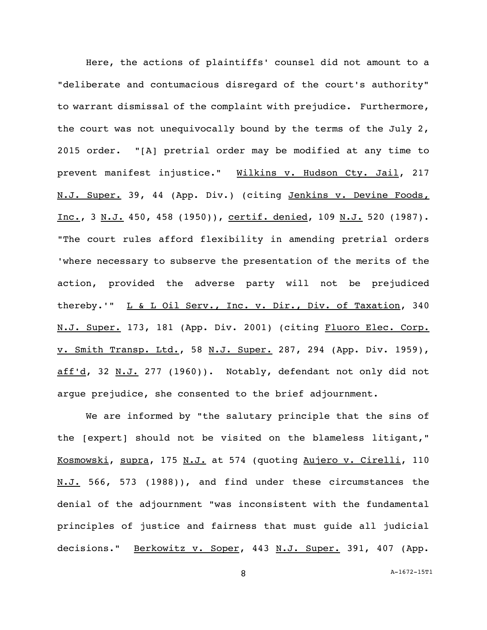Here, the actions of plaintiffs' counsel did not amount to a "deliberate and contumacious disregard of the court's authority" to warrant dismissal of the complaint with prejudice. Furthermore, the court was not unequivocally bound by the terms of the July 2, 2015 order. "[A] pretrial order may be modified at any time to prevent manifest injustice." Wilkins v. Hudson Cty. Jail, 217 N.J. Super. 39, 44 (App. Div.) (citing Jenkins v. Devine Foods, Inc., 3 N.J. 450, 458 (1950)), certif. denied, 109 N.J. 520 (1987). "The court rules afford flexibility in amending pretrial orders 'where necessary to subserve the presentation of the merits of the action, provided the adverse party will not be prejudiced thereby.'" L & L Oil Serv., Inc. v. Dir., Div. of Taxation, 340 N.J. Super. 173, 181 (App. Div. 2001) (citing Fluoro Elec. Corp. v. Smith Transp. Ltd., 58 N.J. Super. 287, 294 (App. Div. 1959), aff'd, 32 N.J. 277 (1960)). Notably, defendant not only did not argue prejudice, she consented to the brief adjournment.

We are informed by "the salutary principle that the sins of the [expert] should not be visited on the blameless litigant," Kosmowski, supra, 175 N.J. at 574 (quoting Aujero v. Cirelli, 110 N.J. 566, 573 (1988)), and find under these circumstances the denial of the adjournment "was inconsistent with the fundamental principles of justice and fairness that must guide all judicial decisions." Berkowitz v. Soper, 443 N.J. Super. 391, 407 (App.